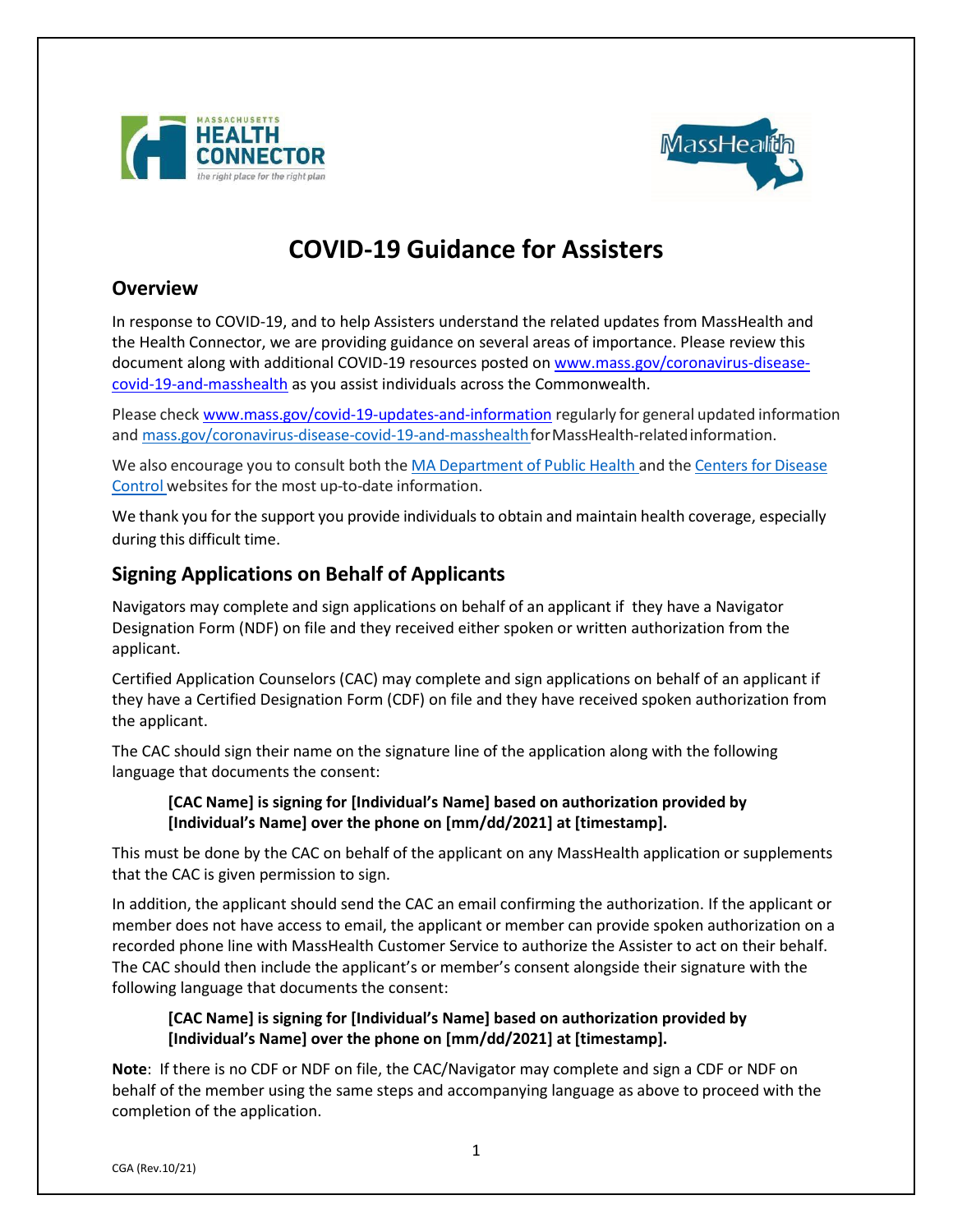



# **COVID-19 Guidance for Assisters**

## **Overview**

In response to COVID-19, and to help Assisters understand the related updates from MassHealth and the Health Connector, we are providing guidance on several areas of importance. Please review this document along with additional COVID-19 resources posted on [www.mass.gov/coronavirus-disease](http://www.mass.gov/coronavirus-disease-covid-19-and-masshealth)[covid-19-and-masshealth](http://www.mass.gov/coronavirus-disease-covid-19-and-masshealth) as you assist individuals across the Commonwealth.

Please check [www.mass.gov/covid-19-updates-and-information](http://www.mass.gov/covid-19-updates-and-information) regularly for general updated information and mass.gov/coronavirus-disease-covid-19-and-masshealth for MassHealth-related information.

We also encourage you to consult both the MA [Department](https://www.mass.gov/resource/information-on-the-outbreak-of-coronavirus-disease-2019-covid-19) of Public Health and the [Centers](https://www.cdc.gov/coronavirus/2019-ncov/index.html) for Disease [Control](https://www.cdc.gov/coronavirus/2019-ncov/index.html) websites for the most up-to-date information.

We thank you for the support you provide individuals to obtain and maintain health coverage, especially during this difficult time.

# **Signing Applications on Behalf of Applicants**

Navigators may complete and sign applications on behalf of an applicant if they have a Navigator Designation Form (NDF) on file and they received either spoken or written authorization from the applicant.

Certified Application Counselors (CAC) may complete and sign applications on behalf of an applicant if they have a Certified Designation Form (CDF) on file and they have received spoken authorization from the applicant.

The CAC should sign their name on the signature line of the application along with the following language that documents the consent:

#### **[CAC Name] is signing for [Individual's Name] based on authorization provided by [Individual's Name] over the phone on [mm/dd/2021] at [timestamp].**

This must be done by the CAC on behalf of the applicant on any MassHealth application or supplements that the CAC is given permission to sign.

In addition, the applicant should send the CAC an email confirming the authorization. If the applicant or member does not have access to email, the applicant or member can provide spoken authorization on a recorded phone line with MassHealth Customer Service to authorize the Assister to act on their behalf. The CAC should then include the applicant's or member's consent alongside their signature with the following language that documents the consent:

#### **[CAC Name] is signing for [Individual's Name] based on authorization provided by [Individual's Name] over the phone on [mm/dd/2021] at [timestamp].**

**Note**: If there is no CDF or NDF on file, the CAC/Navigator may complete and sign a CDF or NDF on behalf of the member using the same steps and accompanying language as above to proceed with the completion of the application.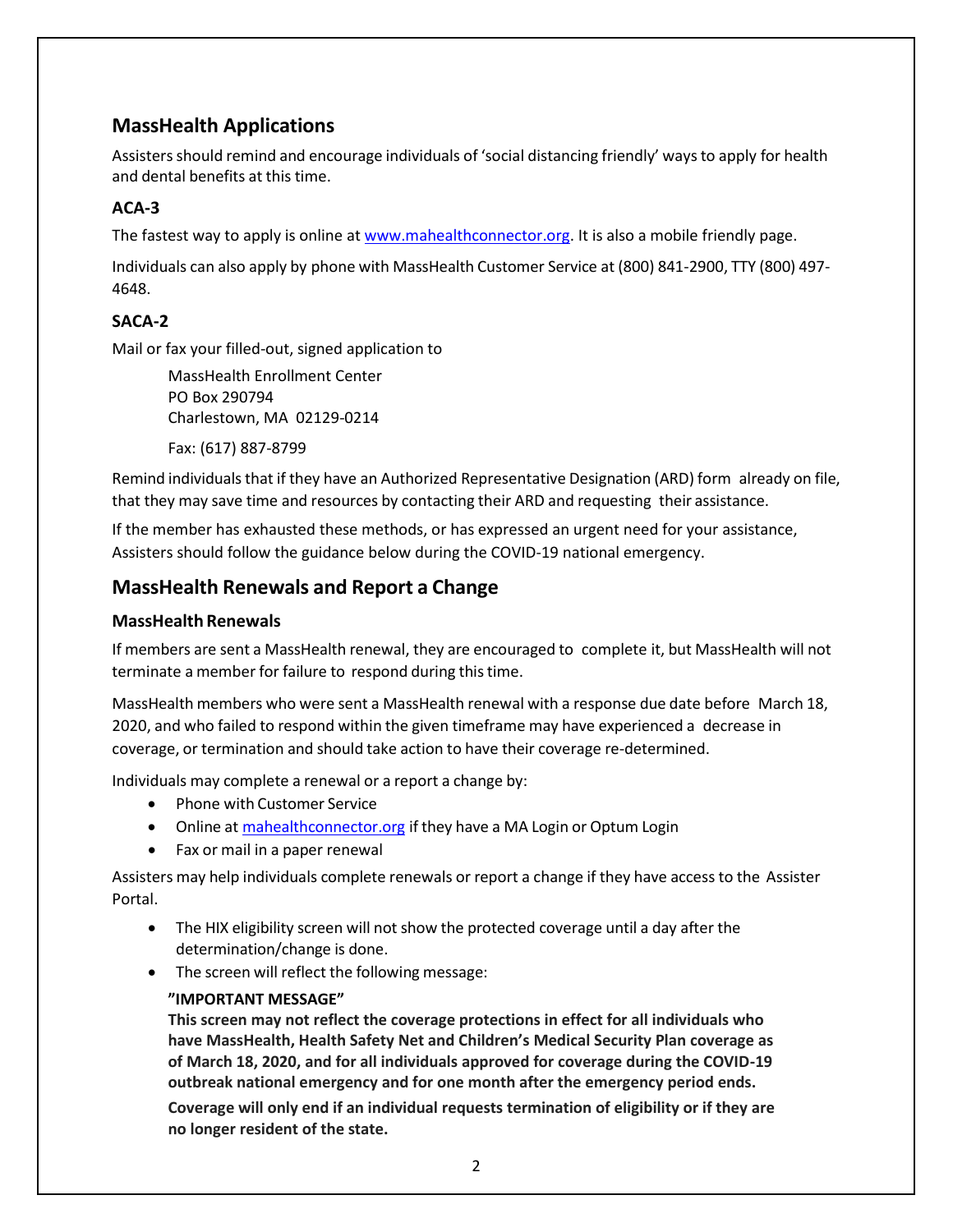# **MassHealth Applications**

Assistersshould remind and encourage individuals of 'social distancing friendly' waysto apply for health and dental benefits at this time.

## **ACA-3**

The fastest way to apply is online at [www.mahealthconnector.org.](http://www.mahealthconnector.org/) It is also a mobile friendly page.

Individuals can also apply by phone with MassHealth Customer Service at (800) 841-2900, TTY (800) 497- 4648.

## **SACA-2**

Mail or fax your filled-out, signed application to

MassHealth Enrollment Center PO Box 290794 Charlestown, MA 02129-0214

Fax: (617) 887-8799

Remind individuals that if they have an Authorized Representative Designation (ARD) form already on file, that they may save time and resources by contacting their ARD and requesting their assistance.

If the member has exhausted these methods, or has expressed an urgent need for your assistance, Assisters should follow the guidance below during the COVID-19 national emergency.

## **MassHealth Renewals and Report a Change**

#### **MassHealth Renewals**

If members are sent a MassHealth renewal, they are encouraged to complete it, but MassHealth will not terminate a member for failure to respond during thistime.

MassHealth members who were sent a MassHealth renewal with a response due date before March 18, 2020, and who failed to respond within the given timeframe may have experienced a decrease in coverage, or termination and should take action to have their coverage re-determined.

Individuals may complete a renewal or a report a change by:

- Phone with Customer Service
- Online at **mahealthconnector.org** if they have a MA Login or Optum Login
- Fax or mail in a paper renewal

Assisters may help individuals complete renewals or report a change if they have access to the Assister Portal.

- The HIX eligibility screen will not show the protected coverage until a day after the determination/change is done.
- The screen will reflect the following message:

#### **"IMPORTANT MESSAGE"**

**This screen may not reflect the coverage protections in effect for all individuals who have MassHealth, Health Safety Net and Children's Medical Security Plan coverage as of March 18, 2020, and for all individuals approved for coverage during the COVID-19 outbreak national emergency and for one month after the emergency period ends.**

**Coverage will only end if an individual requests termination of eligibility or if they are no longer resident of the state.**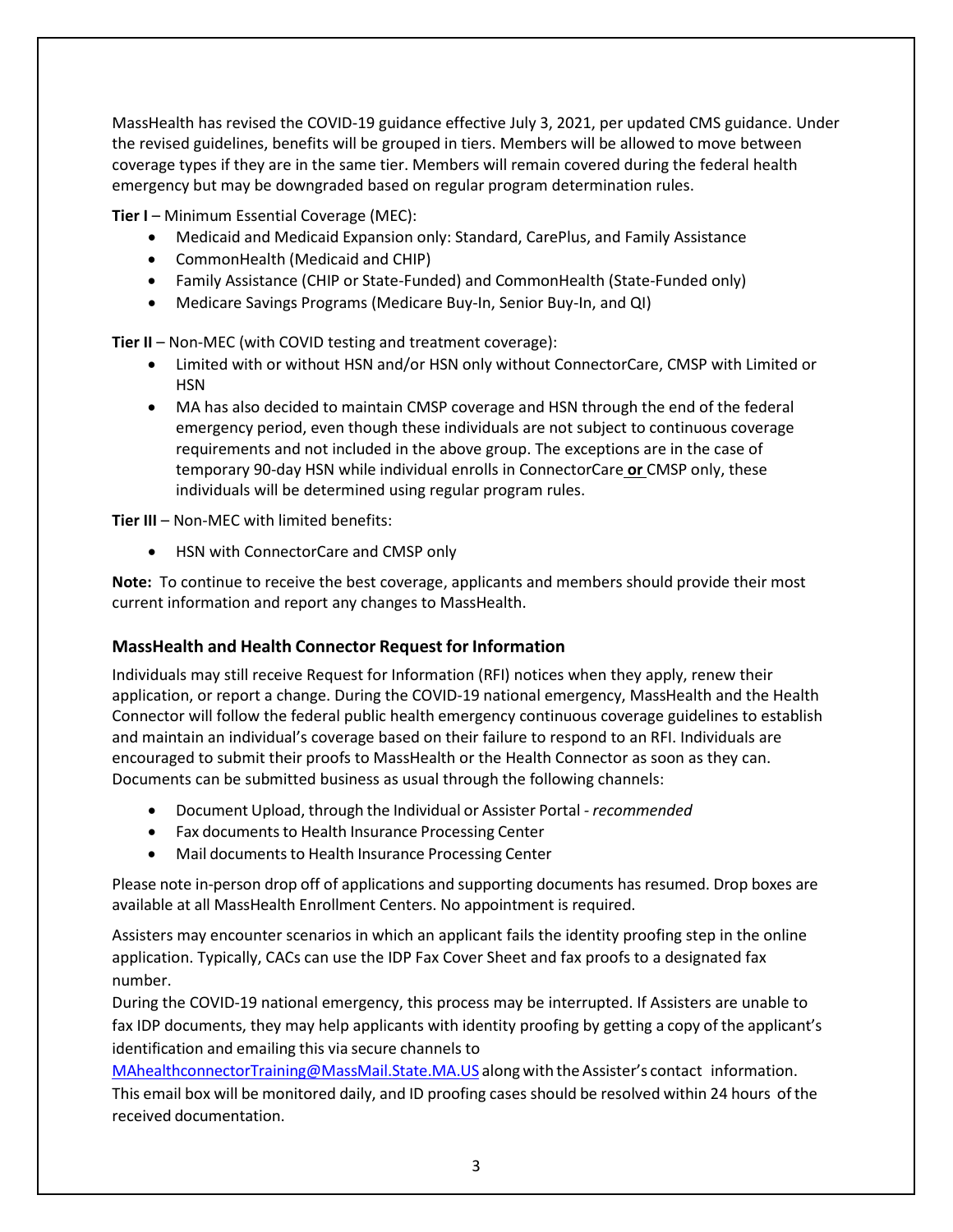MassHealth has revised the COVID-19 guidance effective July 3, 2021, per updated CMS guidance. Under the revised guidelines, benefits will be grouped in tiers. Members will be allowed to move between coverage types if they are in the same tier. Members will remain covered during the federal health emergency but may be downgraded based on regular program determination rules.

**Tier I** – Minimum Essential Coverage (MEC):

- Medicaid and Medicaid Expansion only: Standard, CarePlus, and Family Assistance
- CommonHealth (Medicaid and CHIP)
- Family Assistance (CHIP or State-Funded) and CommonHealth (State-Funded only)
- Medicare Savings Programs (Medicare Buy-In, Senior Buy-In, and QI)

**Tier II** – Non-MEC (with COVID testing and treatment coverage):

- Limited with or without HSN and/or HSN only without ConnectorCare, CMSP with Limited or HSN
- MA has also decided to maintain CMSP coverage and HSN through the end of the federal emergency period, even though these individuals are not subject to continuous coverage requirements and not included in the above group. The exceptions are in the case of temporary 90-day HSN while individual enrolls in ConnectorCare **or** CMSP only, these individuals will be determined using regular program rules.

**Tier III** – Non-MEC with limited benefits:

• HSN with ConnectorCare and CMSP only

**Note:** To continue to receive the best coverage, applicants and members should provide their most current information and report any changes to MassHealth.

## **MassHealth and Health Connector Request for Information**

Individuals may still receive Request for Information (RFI) notices when they apply, renew their application, or report a change. During the COVID-19 national emergency, MassHealth and the Health Connector will follow the federal public health emergency continuous coverage guidelines to establish and maintain an individual's coverage based on their failure to respond to an RFI. Individuals are encouraged to submit their proofs to MassHealth or the Health Connector as soon as they can. Documents can be submitted business as usual through the following channels:

- Document Upload, through the Individual or Assister Portal *- recommended*
- Fax documents to Health Insurance Processing Center
- Mail documents to Health Insurance Processing Center

Please note in-person drop off of applications and supporting documents has resumed. Drop boxes are available at all MassHealth Enrollment Centers. No appointment is required.

Assisters may encounter scenarios in which an applicant fails the identity proofing step in the online application. Typically, CACs can use the IDP Fax Cover Sheet and fax proofs to a designated fax number.

During the COVID-19 national emergency, this process may be interrupted. If Assisters are unable to fax IDP documents, they may help applicants with identity proofing by getting a copy of the applicant's identification and emailing this via secure channels to

[MAhealthconnectorTraining@MassMail.State.MA.US](mailto:MAhealthconnectorTraining@MassMail.State.MA.US) along with the Assister's contact information. This email box will be monitored daily, and ID proofing cases should be resolved within 24 hours ofthe received documentation.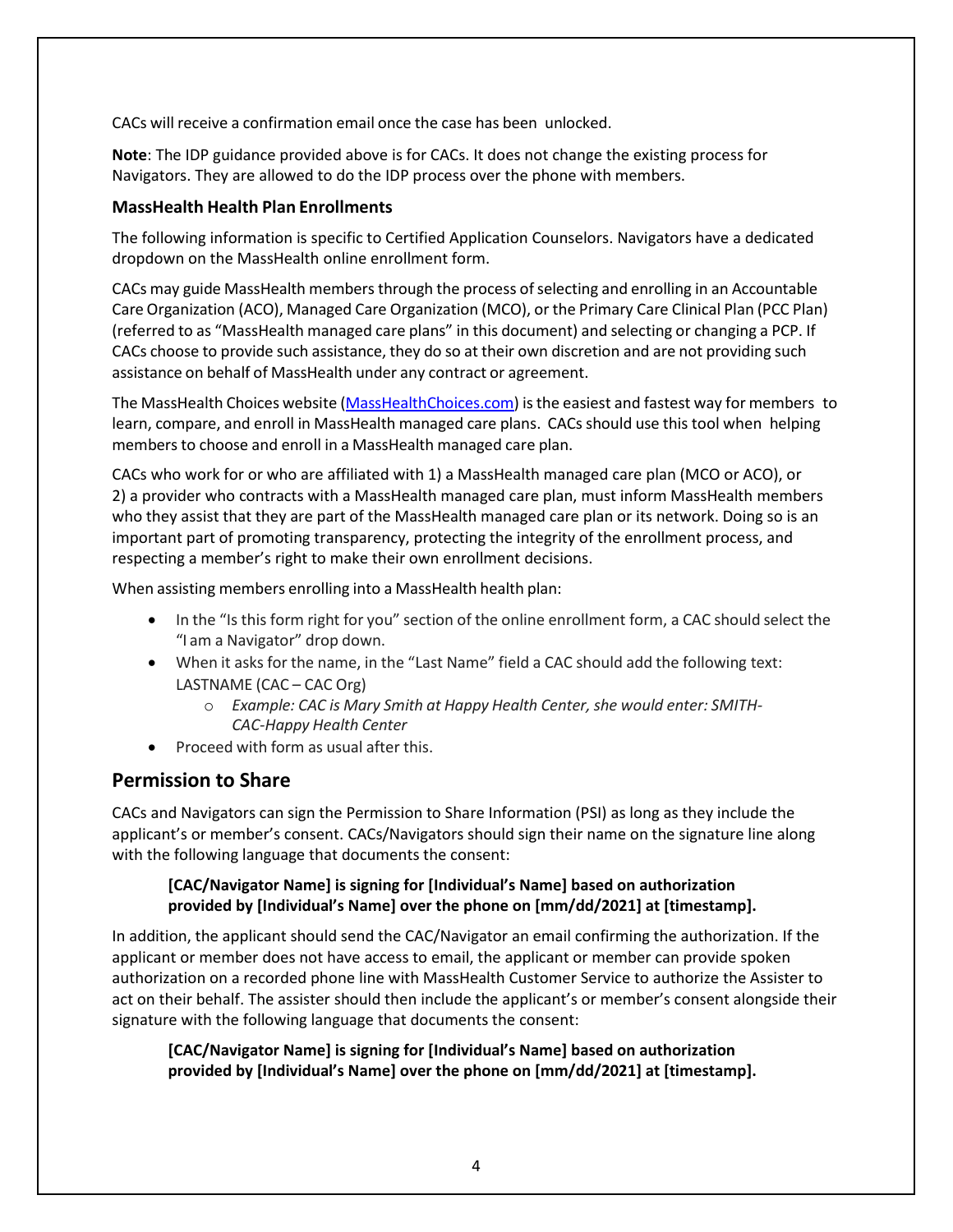CACs will receive a confirmation email once the case has been unlocked.

**Note**: The IDP guidance provided above is for CACs. It does not change the existing process for Navigators. They are allowed to do the IDP process over the phone with members.

#### **MassHealth Health Plan Enrollments**

The following information is specific to Certified Application Counselors. Navigators have a dedicated dropdown on the MassHealth online enrollment form.

CACs may guide MassHealth members through the process ofselecting and enrolling in an Accountable Care Organization (ACO), Managed Care Organization (MCO), or the Primary Care Clinical Plan (PCC Plan) (referred to as "MassHealth managed care plans" in this document) and selecting or changing a PCP. If CACs choose to provide such assistance, they do so at their own discretion and are not providing such assistance on behalf of MassHealth under any contract or agreement.

The MassHealth Choices website [\(MassHealthChoices.com\)](https://masshealthchoices.com/) is the easiest and fastest way for members to learn, compare, and enroll in MassHealth managed care plans. CACs should use this tool when helping members to choose and enroll in a MassHealth managed care plan.

CACs who work for or who are affiliated with 1) a MassHealth managed care plan (MCO or ACO), or 2) a provider who contracts with a MassHealth managed care plan, must inform MassHealth members who they assist that they are part of the MassHealth managed care plan or its network. Doing so is an important part of promoting transparency, protecting the integrity of the enrollment process, and respecting a member's right to make their own enrollment decisions.

When assisting members enrolling into a MassHealth health plan:

- In the "Is this form right for you" section of the online enrollment form, a CAC should select the "I am a Navigator" drop down.
- When it asks for the name, in the "Last Name" field a CAC should add the following text: LASTNAME (CAC – CAC Org)
	- o *Example: CAC is Mary Smith at Happy Health Center, she would enter: SMITH-CAC-Happy Health Center*
- Proceed with form as usual after this.

# **Permission to Share**

CACs and Navigators can sign the Permission to Share Information (PSI) as long as they include the applicant's or member's consent. CACs/Navigators should sign their name on the signature line along with the following language that documents the consent:

#### **[CAC/Navigator Name] is signing for [Individual's Name] based on authorization provided by [Individual's Name] over the phone on [mm/dd/2021] at [timestamp].**

In addition, the applicant should send the CAC/Navigator an email confirming the authorization. If the applicant or member does not have access to email, the applicant or member can provide spoken authorization on a recorded phone line with MassHealth Customer Service to authorize the Assister to act on their behalf. The assister should then include the applicant's or member's consent alongside their signature with the following language that documents the consent:

**[CAC/Navigator Name] is signing for [Individual's Name] based on authorization provided by [Individual's Name] over the phone on [mm/dd/2021] at [timestamp].**